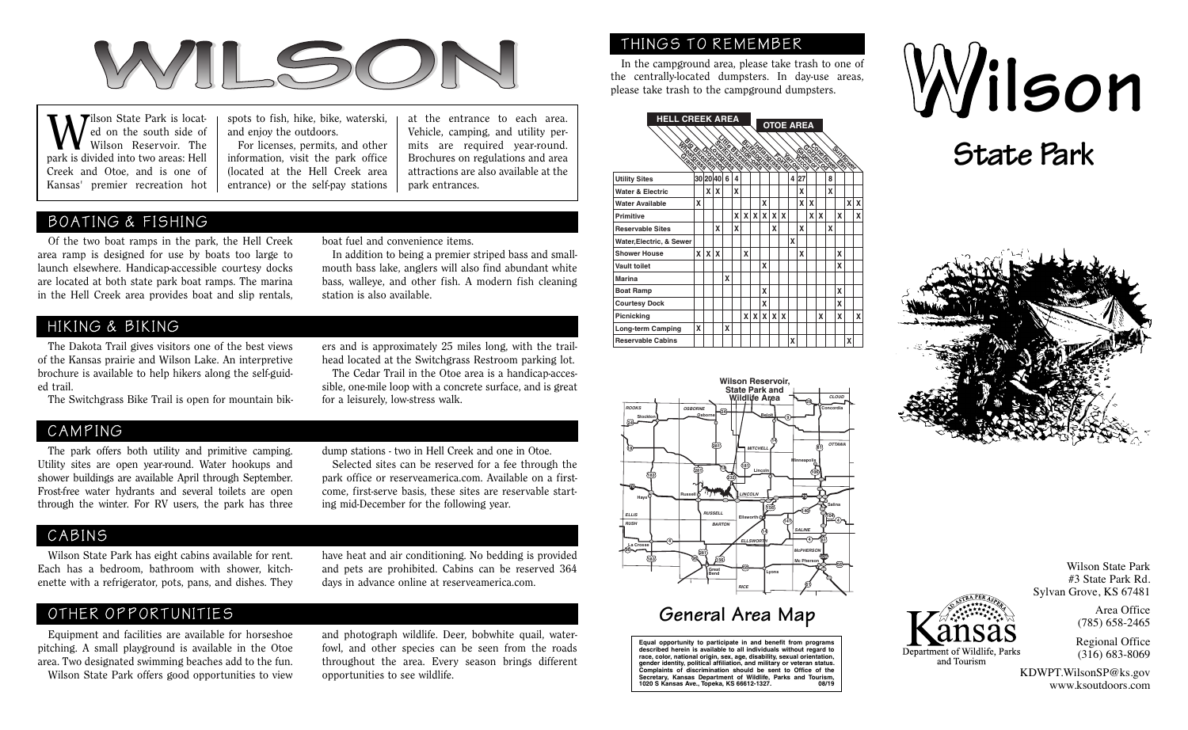

# BOATING & FISHING

 Of the two boat ramps in the park, the Hell Creek area ramp is designed for use by boats too large to launch elsewhere. Handicap-accessible courtesy docks are located at both state park boat ramps. The marina in the Hell Creek area provides boat and slip rentals,

for a leisurely, low-stress walk.

ers and is approximately 25 miles long, with the trailhead located at the Switchgrass Restroom parking lot. The Cedar Trail in the Otoe area is a handicap-accessible, one-mile loop with a concrete surface, and is great

## HIKING & BIKING

 The Dakota Trail gives visitors one of the best views of the Kansas prairie and Wilson Lake. An interpretive brochure is available to help hikers along the self-guided trail.

The Switchgrass Bike Trail is open for mountain bik-

## CAMPING

 The park offers both utility and primitive camping. Utility sites are open year-round. Water hookups and shower buildings are available April through September. Frost-free water hydrants and several toilets are open through the winter. For RV users, the park has three dump stations - two in Hell Creek and one in Otoe.

 Selected sites can be reserved for a fee through the park office or reserveamerica.com. Available on a firstcome, first-serve basis, these sites are reservable starting mid-December for the following year.

### CABINS

 Wilson State Park has eight cabins available for rent. Each has a bedroom, bathroom with shower, kitchenette with a refrigerator, pots, pans, and dishes. They

#### have heat and air conditioning. No bedding is provided and pets are prohibited. Cabins can be reserved 364 days in advance online at reserveamerica.com.

# OTHER OPPORTUNITIES

 Equipment and facilities are available for horseshoe pitching. A small playground is available in the Otoe area. Two designated swimming beaches add to the fun. Wilson State Park offers good opportunities to view

and photograph wildlife. Deer, bobwhite quail, waterfowl, and other species can be seen from the roads throughout the area. Every season brings different opportunities to see wildlife.

## THINGS TO REMEMBER

In the campground area, please take trash to one of

| <b>Tilson State Park is locat-</b><br>M Jilson State Park is locat-<br>and enjoy the outdoors.<br>Wilson Reservoir. The<br>park is divided into two areas: Hell<br>Creek and Otoe, and is one of | spots to fish, hike, bike, waterski,<br>at the entrance to each area.<br>Vehicle, camping, and utility per-<br>For licenses, permits, and other<br>mits are required year-round.<br>information, visit the park office<br>Brochures on regulations and area<br>(located at the Hell Creek area<br>attractions are also available at the | <b>HELL CREEK AREA</b>      |  |  | <b>State Park</b> |  |  |              |
|--------------------------------------------------------------------------------------------------------------------------------------------------------------------------------------------------|-----------------------------------------------------------------------------------------------------------------------------------------------------------------------------------------------------------------------------------------------------------------------------------------------------------------------------------------|-----------------------------|--|--|-------------------|--|--|--------------|
| Kansas' premier recreation hot                                                                                                                                                                   | entrance) or the self-pay stations<br>park entrances.                                                                                                                                                                                                                                                                                   | <b>Utility Sites</b>        |  |  |                   |  |  |              |
|                                                                                                                                                                                                  |                                                                                                                                                                                                                                                                                                                                         | <b>Water &amp; Electric</b> |  |  |                   |  |  |              |
|                                                                                                                                                                                                  |                                                                                                                                                                                                                                                                                                                                         | <b>Water Available</b>      |  |  |                   |  |  |              |
| BOATING & FISHING                                                                                                                                                                                | <b>Primitive</b>                                                                                                                                                                                                                                                                                                                        |                             |  |  |                   |  |  |              |
|                                                                                                                                                                                                  |                                                                                                                                                                                                                                                                                                                                         | <b>Reservable Sites</b>     |  |  |                   |  |  |              |
| Of the two boat ramps in the park, the Hell Creek                                                                                                                                                | boat fuel and convenience items.                                                                                                                                                                                                                                                                                                        | Water, Electric, & Sewer    |  |  |                   |  |  |              |
| ea ramp is designed for use by boats too large to                                                                                                                                                | In addition to being a premier striped bass and small-                                                                                                                                                                                                                                                                                  | <b>Shower House</b>         |  |  |                   |  |  |              |
| unch elsewhere. Handicap-accessible courtesy docks                                                                                                                                               | mouth bass lake, anglers will also find abundant white<br>bass, walleye, and other fish. A modern fish cleaning<br>station is also available.                                                                                                                                                                                           | <b>Vault toilet</b>         |  |  |                   |  |  |              |
| e located at both state park boat ramps. The marina                                                                                                                                              |                                                                                                                                                                                                                                                                                                                                         | Marina                      |  |  |                   |  |  |              |
| the Hell Creek area provides boat and slip rentals,                                                                                                                                              |                                                                                                                                                                                                                                                                                                                                         | <b>Boat Ramp</b>            |  |  |                   |  |  |              |
|                                                                                                                                                                                                  |                                                                                                                                                                                                                                                                                                                                         | <b>Courtesy Dock</b>        |  |  |                   |  |  |              |
|                                                                                                                                                                                                  |                                                                                                                                                                                                                                                                                                                                         | Picnicking                  |  |  | x x x x x         |  |  |              |
| HIKING & BIKING                                                                                                                                                                                  |                                                                                                                                                                                                                                                                                                                                         | Long-term Camping           |  |  |                   |  |  |              |
| The Dakota Trail gives visitors one of the best views                                                                                                                                            | ers and is approximately 25 miles long, with the trail-                                                                                                                                                                                                                                                                                 | <b>Reservable Cabins</b>    |  |  |                   |  |  | <b>TIDES</b> |



# **General Area Map**

**Equal opportunity to participate in and benefit from programs described herein is available to all individuals without regard to race, color, national origin, sex, age, disability, sexual orientation, gender identity, political affiliation, and military or veteran status. Complaints of discrimination should be sent to Office of the Secretary, Kansas Department of Wildlife, Parks and Tourism, 1020 S Kansas Ave., Topeka, KS 66612-1327. 08/19**





Denartment of Wildlife. Park and Tourism

Wilson State Park #3 State Park Rd. Sylvan Grove, KS 67481

> Area Office (785) 658-2465

Regional Office (316) 683-8069

KDWPT.WilsonSP@ks.gov www.ksoutdoors.com